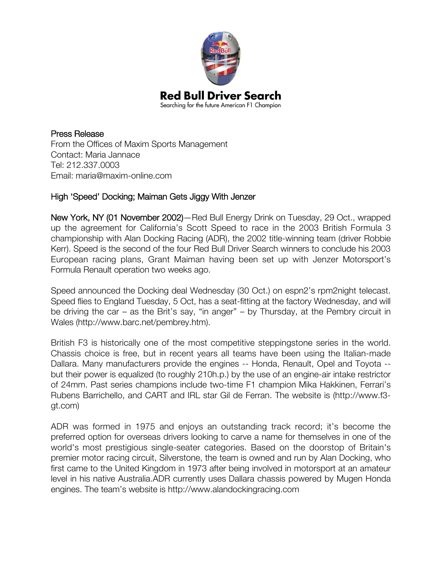

Press Release From the Offices of Maxim Sports Management Contact: Maria Jannace Tel: 212.337.0003 Email: maria@maxim-online.com

## High 'Speed' Docking; Maiman Gets Jiggy With Jenzer

New York, NY (01 November 2002)—Red Bull Energy Drink on Tuesday, 29 Oct., wrapped up the agreement for California's Scott Speed to race in the 2003 British Formula 3 championship with Alan Docking Racing (ADR), the 2002 title-winning team (driver Robbie Kerr). Speed is the second of the four Red Bull Driver Search winners to conclude his 2003 European racing plans, Grant Maiman having been set up with Jenzer Motorsport's Formula Renault operation two weeks ago.

Speed announced the Docking deal Wednesday (30 Oct.) on espn2's rpm2night telecast. Speed flies to England Tuesday, 5 Oct, has a seat-fitting at the factory Wednesday, and will be driving the car – as the Brit's say, "in anger" – by Thursday, at the Pembry circuit in Wales (http://www.barc.net/pembrey.htm).

British F3 is historically one of the most competitive steppingstone series in the world. Chassis choice is free, but in recent years all teams have been using the Italian-made Dallara. Many manufacturers provide the engines -- Honda, Renault, Opel and Toyota - but their power is equalized (to roughly 210h.p.) by the use of an engine-air intake restrictor of 24mm. Past series champions include two-time F1 champion Mika Hakkinen, Ferrari's Rubens Barrichello, and CART and IRL star Gil de Ferran. The website is (http://www.f3 gt.com)

ADR was formed in 1975 and enjoys an outstanding track record; it's become the preferred option for overseas drivers looking to carve a name for themselves in one of the world's most prestigious single-seater categories. Based on the doorstop of Britain's premier motor racing circuit, Silverstone, the team is owned and run by Alan Docking, who first came to the United Kingdom in 1973 after being involved in motorsport at an amateur level in his native Australia.ADR currently uses Dallara chassis powered by Mugen Honda engines. The team's website is http://www.alandockingracing.com